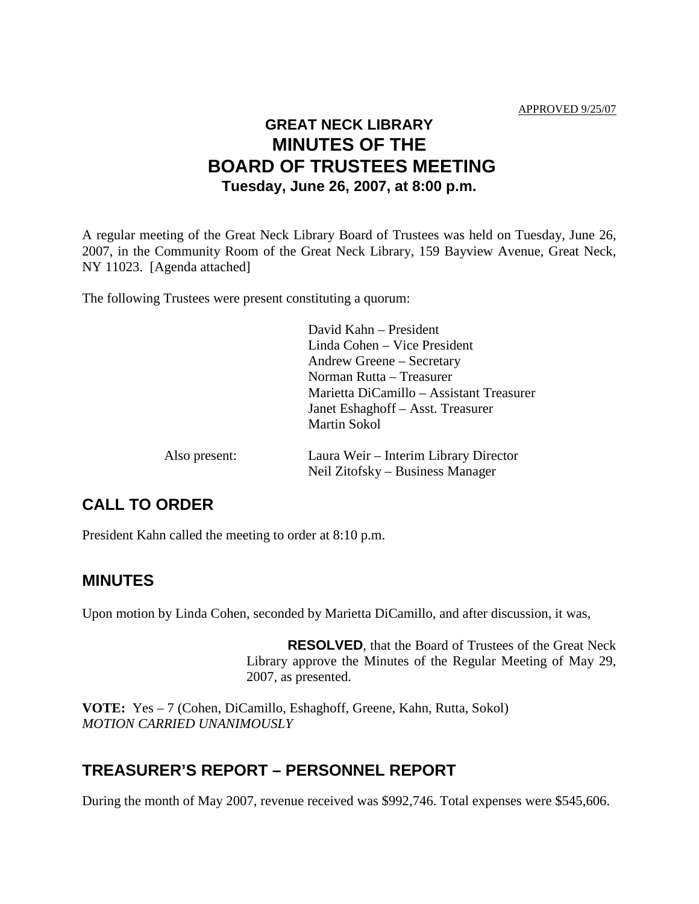# **GREAT NECK LIBRARY MINUTES OF THE BOARD OF TRUSTEES MEETING Tuesday, June 26, 2007, at 8:00 p.m.**

A regular meeting of the Great Neck Library Board of Trustees was held on Tuesday, June 26, 2007, in the Community Room of the Great Neck Library, 159 Bayview Avenue, Great Neck, NY 11023. [Agenda attached]

The following Trustees were present constituting a quorum:

|               | David Kahn – President                                                    |
|---------------|---------------------------------------------------------------------------|
|               | Linda Cohen – Vice President                                              |
|               | Andrew Greene – Secretary                                                 |
|               | Norman Rutta – Treasurer                                                  |
|               | Marietta DiCamillo – Assistant Treasurer                                  |
|               | Janet Eshaghoff – Asst. Treasurer                                         |
|               | <b>Martin Sokol</b>                                                       |
| Also present: | Laura Weir – Interim Library Director<br>Neil Zitofsky – Business Manager |
|               |                                                                           |

## **CALL TO ORDER**

President Kahn called the meeting to order at 8:10 p.m.

## **MINUTES**

Upon motion by Linda Cohen, seconded by Marietta DiCamillo, and after discussion, it was,

**RESOLVED**, that the Board of Trustees of the Great Neck Library approve the Minutes of the Regular Meeting of May 29, 2007, as presented.

**VOTE:** Yes – 7 (Cohen, DiCamillo, Eshaghoff, Greene, Kahn, Rutta, Sokol) *MOTION CARRIED UNANIMOUSLY*

## **TREASURER'S REPORT – PERSONNEL REPORT**

During the month of May 2007, revenue received was \$992,746. Total expenses were \$545,606.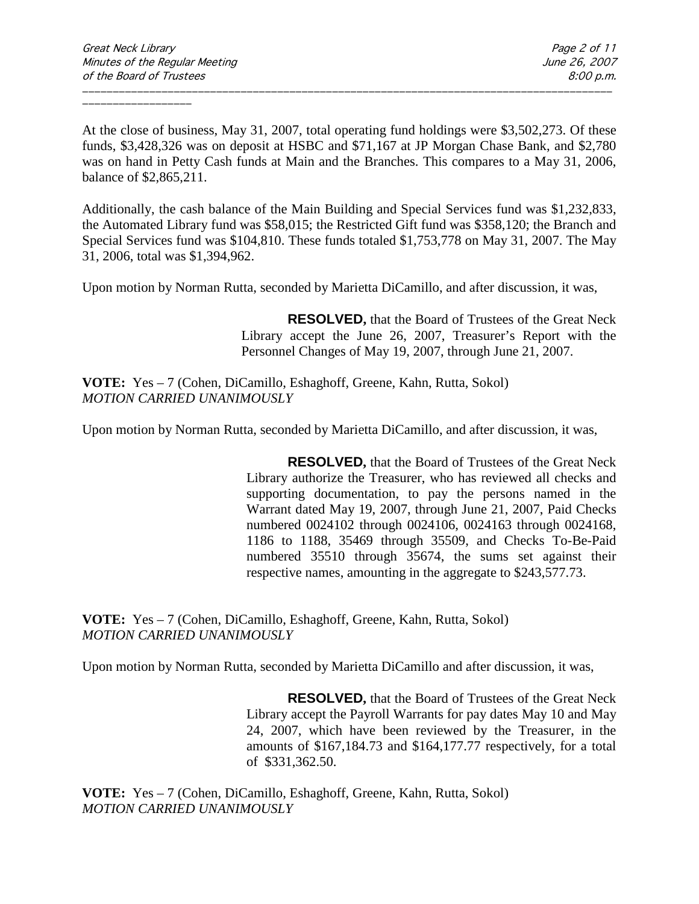At the close of business, May 31, 2007, total operating fund holdings were \$3,502,273. Of these funds, \$3,428,326 was on deposit at HSBC and \$71,167 at JP Morgan Chase Bank, and \$2,780 was on hand in Petty Cash funds at Main and the Branches. This compares to a May 31, 2006, balance of \$2,865,211.

\_\_\_\_\_\_\_\_\_\_\_\_\_\_\_\_\_\_\_\_\_\_\_\_\_\_\_\_\_\_\_\_\_\_\_\_\_\_\_\_\_\_\_\_\_\_\_\_\_\_\_\_\_\_\_\_\_\_\_\_\_\_\_\_\_\_\_\_\_\_\_\_\_\_\_\_\_\_\_\_\_\_\_\_\_\_\_

Additionally, the cash balance of the Main Building and Special Services fund was \$1,232,833, the Automated Library fund was \$58,015; the Restricted Gift fund was \$358,120; the Branch and Special Services fund was \$104,810. These funds totaled \$1,753,778 on May 31, 2007. The May 31, 2006, total was \$1,394,962.

Upon motion by Norman Rutta, seconded by Marietta DiCamillo, and after discussion, it was,

**RESOLVED,** that the Board of Trustees of the Great Neck Library accept the June 26, 2007, Treasurer's Report with the Personnel Changes of May 19, 2007, through June 21, 2007.

**VOTE:** Yes – 7 (Cohen, DiCamillo, Eshaghoff, Greene, Kahn, Rutta, Sokol) *MOTION CARRIED UNANIMOUSLY*

Upon motion by Norman Rutta, seconded by Marietta DiCamillo, and after discussion, it was,

**RESOLVED,** that the Board of Trustees of the Great Neck Library authorize the Treasurer, who has reviewed all checks and supporting documentation, to pay the persons named in the Warrant dated May 19, 2007, through June 21, 2007, Paid Checks numbered 0024102 through 0024106, 0024163 through 0024168, 1186 to 1188, 35469 through 35509, and Checks To-Be-Paid numbered 35510 through 35674, the sums set against their respective names, amounting in the aggregate to \$243,577.73.

**VOTE:** Yes – 7 (Cohen, DiCamillo, Eshaghoff, Greene, Kahn, Rutta, Sokol) *MOTION CARRIED UNANIMOUSLY*

Upon motion by Norman Rutta, seconded by Marietta DiCamillo and after discussion, it was,

**RESOLVED,** that the Board of Trustees of the Great Neck Library accept the Payroll Warrants for pay dates May 10 and May 24, 2007, which have been reviewed by the Treasurer, in the amounts of \$167,184.73 and \$164,177.77 respectively, for a total of \$331,362.50.

**VOTE:** Yes – 7 (Cohen, DiCamillo, Eshaghoff, Greene, Kahn, Rutta, Sokol) *MOTION CARRIED UNANIMOUSLY*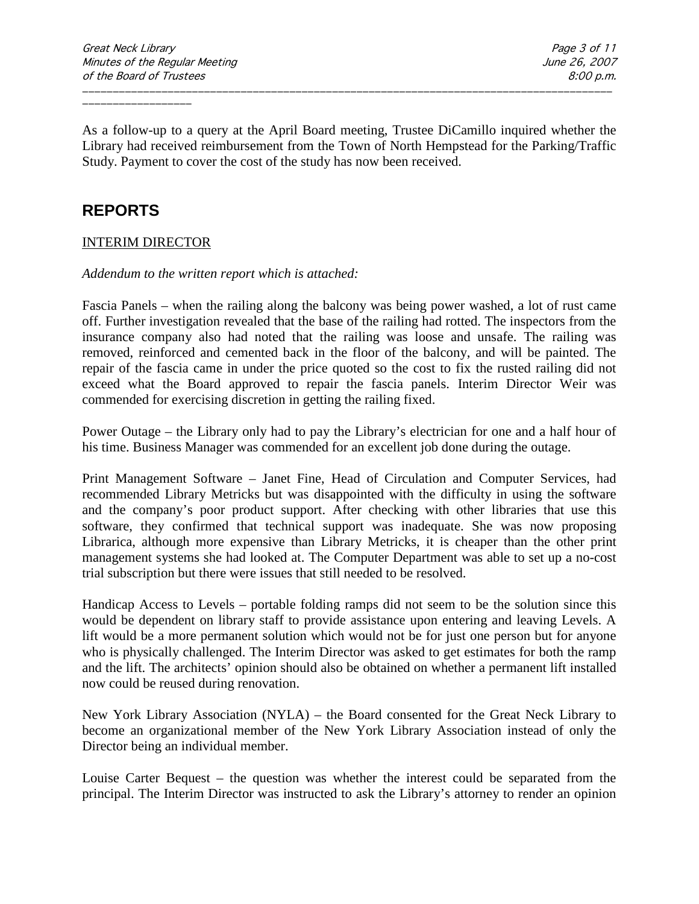As a follow-up to a query at the April Board meeting, Trustee DiCamillo inquired whether the Library had received reimbursement from the Town of North Hempstead for the Parking/Traffic Study. Payment to cover the cost of the study has now been received.

\_\_\_\_\_\_\_\_\_\_\_\_\_\_\_\_\_\_\_\_\_\_\_\_\_\_\_\_\_\_\_\_\_\_\_\_\_\_\_\_\_\_\_\_\_\_\_\_\_\_\_\_\_\_\_\_\_\_\_\_\_\_\_\_\_\_\_\_\_\_\_\_\_\_\_\_\_\_\_\_\_\_\_\_\_\_\_

# **REPORTS**

## INTERIM DIRECTOR

## *Addendum to the written report which is attached:*

Fascia Panels – when the railing along the balcony was being power washed, a lot of rust came off. Further investigation revealed that the base of the railing had rotted. The inspectors from the insurance company also had noted that the railing was loose and unsafe. The railing was removed, reinforced and cemented back in the floor of the balcony, and will be painted. The repair of the fascia came in under the price quoted so the cost to fix the rusted railing did not exceed what the Board approved to repair the fascia panels. Interim Director Weir was commended for exercising discretion in getting the railing fixed.

Power Outage – the Library only had to pay the Library's electrician for one and a half hour of his time. Business Manager was commended for an excellent job done during the outage.

Print Management Software – Janet Fine, Head of Circulation and Computer Services, had recommended Library Metricks but was disappointed with the difficulty in using the software and the company's poor product support. After checking with other libraries that use this software, they confirmed that technical support was inadequate. She was now proposing Librarica, although more expensive than Library Metricks, it is cheaper than the other print management systems she had looked at. The Computer Department was able to set up a no-cost trial subscription but there were issues that still needed to be resolved.

Handicap Access to Levels – portable folding ramps did not seem to be the solution since this would be dependent on library staff to provide assistance upon entering and leaving Levels. A lift would be a more permanent solution which would not be for just one person but for anyone who is physically challenged. The Interim Director was asked to get estimates for both the ramp and the lift. The architects' opinion should also be obtained on whether a permanent lift installed now could be reused during renovation.

New York Library Association (NYLA) – the Board consented for the Great Neck Library to become an organizational member of the New York Library Association instead of only the Director being an individual member.

Louise Carter Bequest – the question was whether the interest could be separated from the principal. The Interim Director was instructed to ask the Library's attorney to render an opinion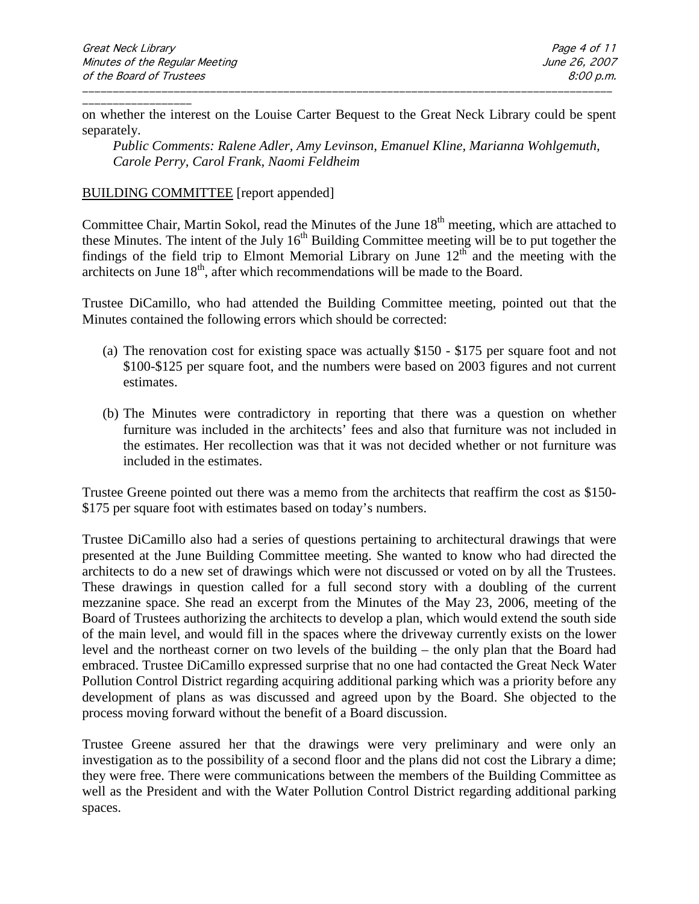\_\_\_\_\_\_\_\_\_\_\_\_\_\_\_\_\_\_ on whether the interest on the Louise Carter Bequest to the Great Neck Library could be spent separately.

\_\_\_\_\_\_\_\_\_\_\_\_\_\_\_\_\_\_\_\_\_\_\_\_\_\_\_\_\_\_\_\_\_\_\_\_\_\_\_\_\_\_\_\_\_\_\_\_\_\_\_\_\_\_\_\_\_\_\_\_\_\_\_\_\_\_\_\_\_\_\_\_\_\_\_\_\_\_\_\_\_\_\_\_\_\_\_

*Public Comments: Ralene Adler, Amy Levinson, Emanuel Kline, Marianna Wohlgemuth, Carole Perry, Carol Frank, Naomi Feldheim*

### BUILDING COMMITTEE [report appended]

Committee Chair, Martin Sokol, read the Minutes of the June 18<sup>th</sup> meeting, which are attached to these Minutes. The intent of the July  $16<sup>th</sup>$  Building Committee meeting will be to put together the findings of the field trip to Elmont Memorial Library on June  $12<sup>th</sup>$  and the meeting with the architects on June  $18<sup>th</sup>$ , after which recommendations will be made to the Board.

Trustee DiCamillo, who had attended the Building Committee meeting, pointed out that the Minutes contained the following errors which should be corrected:

- (a) The renovation cost for existing space was actually \$150 \$175 per square foot and not \$100-\$125 per square foot, and the numbers were based on 2003 figures and not current estimates.
- (b) The Minutes were contradictory in reporting that there was a question on whether furniture was included in the architects' fees and also that furniture was not included in the estimates. Her recollection was that it was not decided whether or not furniture was included in the estimates.

Trustee Greene pointed out there was a memo from the architects that reaffirm the cost as \$150- \$175 per square foot with estimates based on today's numbers.

Trustee DiCamillo also had a series of questions pertaining to architectural drawings that were presented at the June Building Committee meeting. She wanted to know who had directed the architects to do a new set of drawings which were not discussed or voted on by all the Trustees. These drawings in question called for a full second story with a doubling of the current mezzanine space. She read an excerpt from the Minutes of the May 23, 2006, meeting of the Board of Trustees authorizing the architects to develop a plan, which would extend the south side of the main level, and would fill in the spaces where the driveway currently exists on the lower level and the northeast corner on two levels of the building – the only plan that the Board had embraced. Trustee DiCamillo expressed surprise that no one had contacted the Great Neck Water Pollution Control District regarding acquiring additional parking which was a priority before any development of plans as was discussed and agreed upon by the Board. She objected to the process moving forward without the benefit of a Board discussion.

Trustee Greene assured her that the drawings were very preliminary and were only an investigation as to the possibility of a second floor and the plans did not cost the Library a dime; they were free. There were communications between the members of the Building Committee as well as the President and with the Water Pollution Control District regarding additional parking spaces.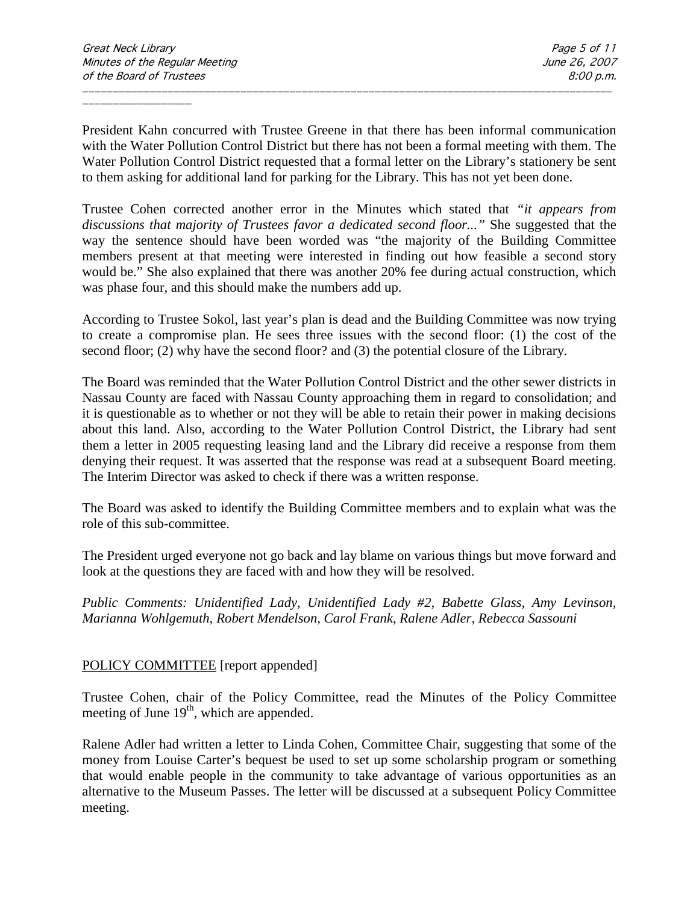President Kahn concurred with Trustee Greene in that there has been informal communication with the Water Pollution Control District but there has not been a formal meeting with them. The Water Pollution Control District requested that a formal letter on the Library's stationery be sent to them asking for additional land for parking for the Library. This has not yet been done.

\_\_\_\_\_\_\_\_\_\_\_\_\_\_\_\_\_\_\_\_\_\_\_\_\_\_\_\_\_\_\_\_\_\_\_\_\_\_\_\_\_\_\_\_\_\_\_\_\_\_\_\_\_\_\_\_\_\_\_\_\_\_\_\_\_\_\_\_\_\_\_\_\_\_\_\_\_\_\_\_\_\_\_\_\_\_\_

Trustee Cohen corrected another error in the Minutes which stated that *"it appears from discussions that majority of Trustees favor a dedicated second floor..."* She suggested that the way the sentence should have been worded was "the majority of the Building Committee members present at that meeting were interested in finding out how feasible a second story would be." She also explained that there was another 20% fee during actual construction, which was phase four, and this should make the numbers add up.

According to Trustee Sokol, last year's plan is dead and the Building Committee was now trying to create a compromise plan. He sees three issues with the second floor: (1) the cost of the second floor; (2) why have the second floor? and (3) the potential closure of the Library.

The Board was reminded that the Water Pollution Control District and the other sewer districts in Nassau County are faced with Nassau County approaching them in regard to consolidation; and it is questionable as to whether or not they will be able to retain their power in making decisions about this land. Also, according to the Water Pollution Control District, the Library had sent them a letter in 2005 requesting leasing land and the Library did receive a response from them denying their request. It was asserted that the response was read at a subsequent Board meeting. The Interim Director was asked to check if there was a written response.

The Board was asked to identify the Building Committee members and to explain what was the role of this sub-committee.

The President urged everyone not go back and lay blame on various things but move forward and look at the questions they are faced with and how they will be resolved.

*Public Comments: Unidentified Lady, Unidentified Lady #2, Babette Glass, Amy Levinson, Marianna Wohlgemuth, Robert Mendelson, Carol Frank, Ralene Adler, Rebecca Sassouni*

## POLICY COMMITTEE [report appended]

Trustee Cohen, chair of the Policy Committee, read the Minutes of the Policy Committee meeting of June  $19<sup>th</sup>$ , which are appended.

Ralene Adler had written a letter to Linda Cohen, Committee Chair, suggesting that some of the money from Louise Carter's bequest be used to set up some scholarship program or something that would enable people in the community to take advantage of various opportunities as an alternative to the Museum Passes. The letter will be discussed at a subsequent Policy Committee meeting.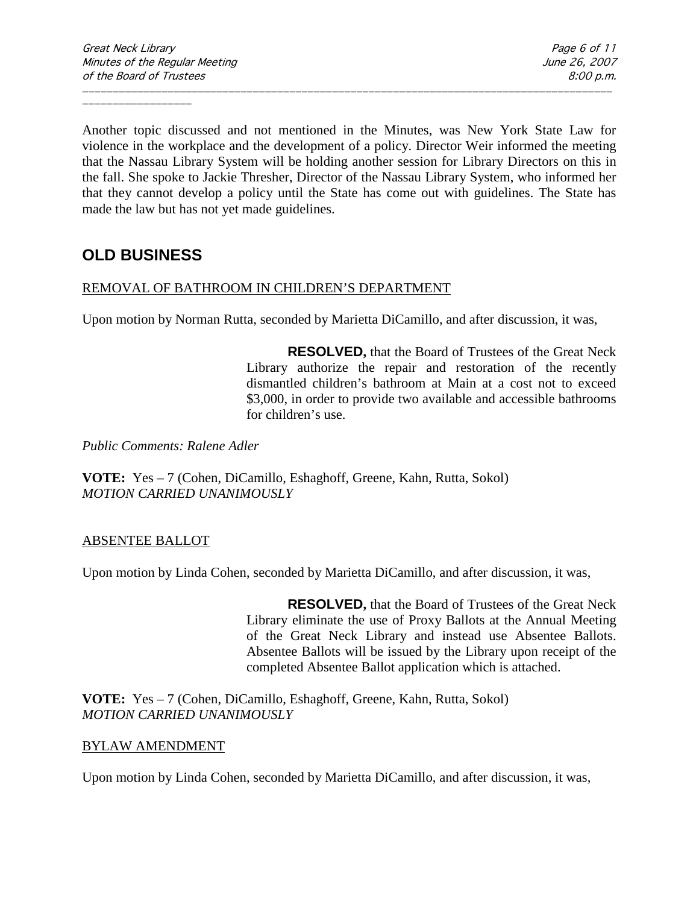Another topic discussed and not mentioned in the Minutes, was New York State Law for violence in the workplace and the development of a policy. Director Weir informed the meeting that the Nassau Library System will be holding another session for Library Directors on this in the fall. She spoke to Jackie Thresher, Director of the Nassau Library System, who informed her that they cannot develop a policy until the State has come out with guidelines. The State has made the law but has not yet made guidelines.

\_\_\_\_\_\_\_\_\_\_\_\_\_\_\_\_\_\_\_\_\_\_\_\_\_\_\_\_\_\_\_\_\_\_\_\_\_\_\_\_\_\_\_\_\_\_\_\_\_\_\_\_\_\_\_\_\_\_\_\_\_\_\_\_\_\_\_\_\_\_\_\_\_\_\_\_\_\_\_\_\_\_\_\_\_\_\_

# **OLD BUSINESS**

## REMOVAL OF BATHROOM IN CHILDREN'S DEPARTMENT

Upon motion by Norman Rutta, seconded by Marietta DiCamillo, and after discussion, it was,

**RESOLVED,** that the Board of Trustees of the Great Neck Library authorize the repair and restoration of the recently dismantled children's bathroom at Main at a cost not to exceed \$3,000, in order to provide two available and accessible bathrooms for children's use.

*Public Comments: Ralene Adler*

**VOTE:** Yes – 7 (Cohen, DiCamillo, Eshaghoff, Greene, Kahn, Rutta, Sokol) *MOTION CARRIED UNANIMOUSLY*

## ABSENTEE BALLOT

Upon motion by Linda Cohen, seconded by Marietta DiCamillo, and after discussion, it was,

**RESOLVED,** that the Board of Trustees of the Great Neck Library eliminate the use of Proxy Ballots at the Annual Meeting of the Great Neck Library and instead use Absentee Ballots. Absentee Ballots will be issued by the Library upon receipt of the completed Absentee Ballot application which is attached.

**VOTE:** Yes – 7 (Cohen, DiCamillo, Eshaghoff, Greene, Kahn, Rutta, Sokol) *MOTION CARRIED UNANIMOUSLY*

## BYLAW AMENDMENT

Upon motion by Linda Cohen, seconded by Marietta DiCamillo, and after discussion, it was,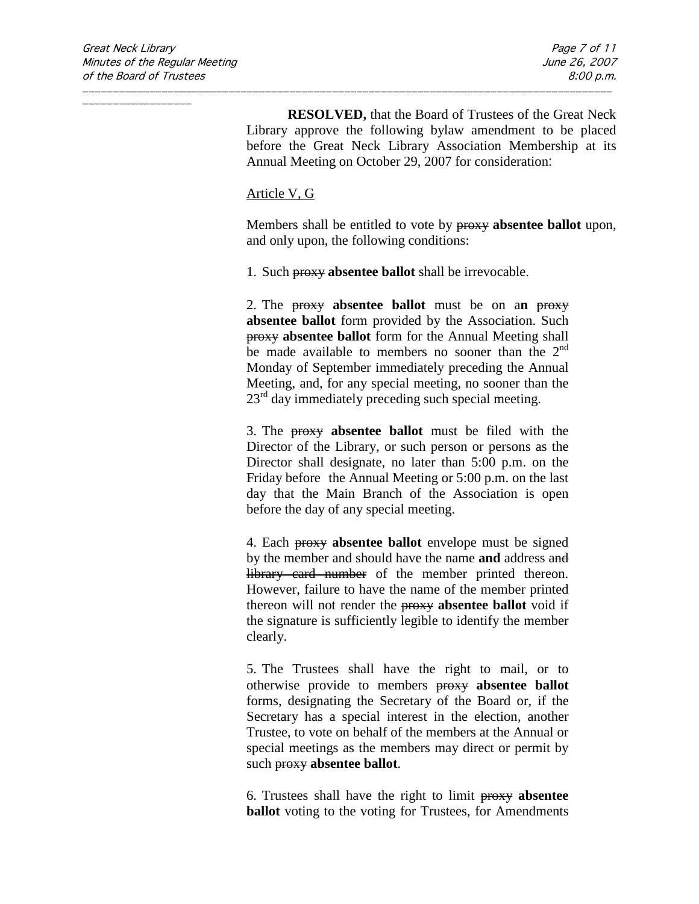**RESOLVED,** that the Board of Trustees of the Great Neck Library approve the following bylaw amendment to be placed before the Great Neck Library Association Membership at its Annual Meeting on October 29, 2007 for consideration:

#### Article V, G

Members shall be entitled to vote by proxy **absentee ballot** upon, and only upon, the following conditions:

1. Such proxy **absentee ballot** shall be irrevocable.

\_\_\_\_\_\_\_\_\_\_\_\_\_\_\_\_\_\_\_\_\_\_\_\_\_\_\_\_\_\_\_\_\_\_\_\_\_\_\_\_\_\_\_\_\_\_\_\_\_\_\_\_\_\_\_\_\_\_\_\_\_\_\_\_\_\_\_\_\_\_\_\_\_\_\_\_\_\_\_\_\_\_\_\_\_\_\_

2. The proxy **absentee ballot** must be on a**n** proxy **absentee ballot** form provided by the Association. Such proxy **absentee ballot** form for the Annual Meeting shall be made available to members no sooner than the  $2<sup>nd</sup>$ Monday of September immediately preceding the Annual Meeting, and, for any special meeting, no sooner than the  $23<sup>rd</sup>$  day immediately preceding such special meeting.

3. The proxy **absentee ballot** must be filed with the Director of the Library, or such person or persons as the Director shall designate, no later than 5:00 p.m. on the Friday before the Annual Meeting or 5:00 p.m. on the last day that the Main Branch of the Association is open before the day of any special meeting.

4. Each proxy **absentee ballot** envelope must be signed by the member and should have the name **and** address and library card number of the member printed thereon. However, failure to have the name of the member printed thereon will not render the proxy **absentee ballot** void if the signature is sufficiently legible to identify the member clearly.

5. The Trustees shall have the right to mail, or to otherwise provide to members proxy **absentee ballot** forms, designating the Secretary of the Board or, if the Secretary has a special interest in the election, another Trustee, to vote on behalf of the members at the Annual or special meetings as the members may direct or permit by such proxy **absentee ballot**.

6. Trustees shall have the right to limit proxy **absentee ballot** voting to the voting for Trustees, for Amendments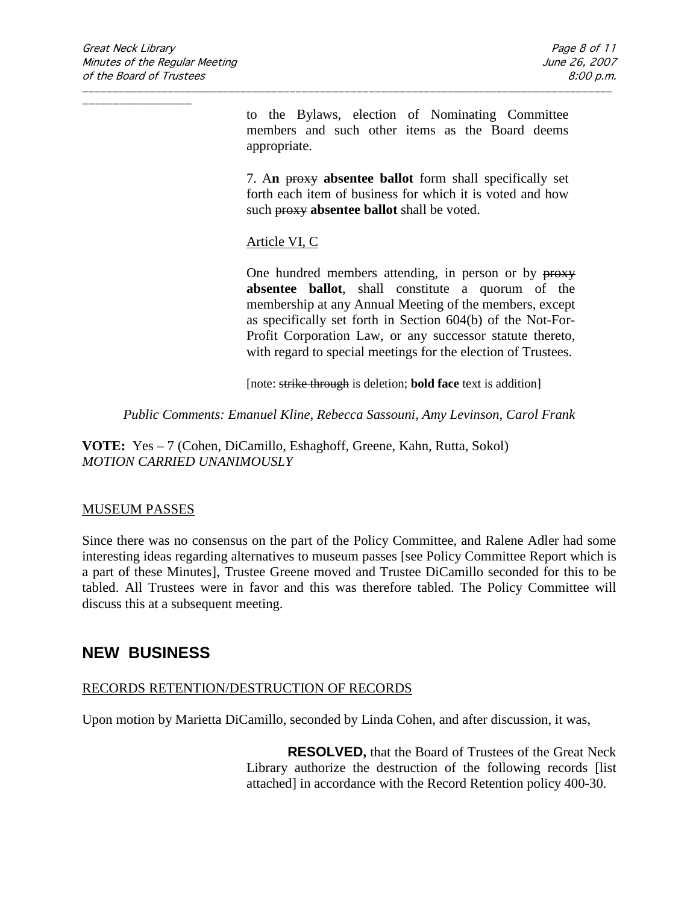to the Bylaws, election of Nominating Committee members and such other items as the Board deems appropriate.

7. A**n** proxy **absentee ballot** form shall specifically set forth each item of business for which it is voted and how such proxy **absentee ballot** shall be voted.

## Article VI, C

One hundred members attending, in person or by proxy **absentee ballot**, shall constitute a quorum of the membership at any Annual Meeting of the members, except as specifically set forth in Section 604(b) of the Not-For-Profit Corporation Law, or any successor statute thereto, with regard to special meetings for the election of Trustees.

[note: strike through is deletion; **bold face** text is addition]

*Public Comments: Emanuel Kline, Rebecca Sassouni, Amy Levinson, Carol Frank*

\_\_\_\_\_\_\_\_\_\_\_\_\_\_\_\_\_\_\_\_\_\_\_\_\_\_\_\_\_\_\_\_\_\_\_\_\_\_\_\_\_\_\_\_\_\_\_\_\_\_\_\_\_\_\_\_\_\_\_\_\_\_\_\_\_\_\_\_\_\_\_\_\_\_\_\_\_\_\_\_\_\_\_\_\_\_\_

**VOTE:** Yes – 7 (Cohen, DiCamillo, Eshaghoff, Greene, Kahn, Rutta, Sokol) *MOTION CARRIED UNANIMOUSLY*

## MUSEUM PASSES

Since there was no consensus on the part of the Policy Committee, and Ralene Adler had some interesting ideas regarding alternatives to museum passes [see Policy Committee Report which is a part of these Minutes], Trustee Greene moved and Trustee DiCamillo seconded for this to be tabled. All Trustees were in favor and this was therefore tabled. The Policy Committee will discuss this at a subsequent meeting.

## **NEW BUSINESS**

## RECORDS RETENTION/DESTRUCTION OF RECORDS

Upon motion by Marietta DiCamillo, seconded by Linda Cohen, and after discussion, it was,

**RESOLVED,** that the Board of Trustees of the Great Neck Library authorize the destruction of the following records [list attached] in accordance with the Record Retention policy 400-30.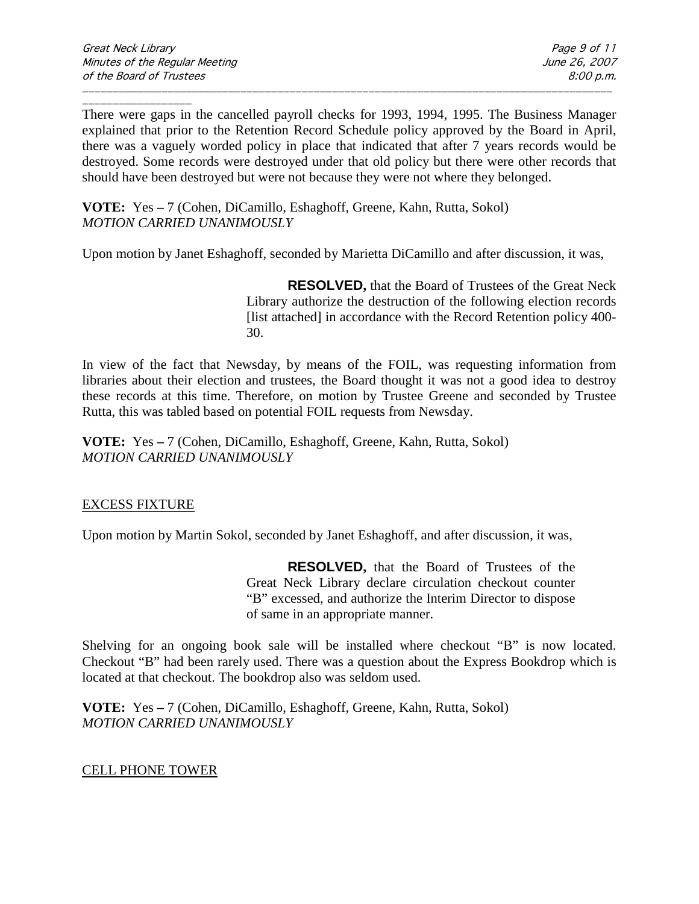\_\_\_\_\_\_\_\_\_\_\_\_\_\_\_\_\_\_ There were gaps in the cancelled payroll checks for 1993, 1994, 1995. The Business Manager explained that prior to the Retention Record Schedule policy approved by the Board in April, there was a vaguely worded policy in place that indicated that after 7 years records would be destroyed. Some records were destroyed under that old policy but there were other records that should have been destroyed but were not because they were not where they belonged.

\_\_\_\_\_\_\_\_\_\_\_\_\_\_\_\_\_\_\_\_\_\_\_\_\_\_\_\_\_\_\_\_\_\_\_\_\_\_\_\_\_\_\_\_\_\_\_\_\_\_\_\_\_\_\_\_\_\_\_\_\_\_\_\_\_\_\_\_\_\_\_\_\_\_\_\_\_\_\_\_\_\_\_\_\_\_\_

**VOTE:** Yes **–** 7 (Cohen, DiCamillo, Eshaghoff, Greene, Kahn, Rutta, Sokol) *MOTION CARRIED UNANIMOUSLY*

Upon motion by Janet Eshaghoff, seconded by Marietta DiCamillo and after discussion, it was,

**RESOLVED,** that the Board of Trustees of the Great Neck Library authorize the destruction of the following election records [list attached] in accordance with the Record Retention policy 400-30.

In view of the fact that Newsday, by means of the FOIL, was requesting information from libraries about their election and trustees, the Board thought it was not a good idea to destroy these records at this time. Therefore, on motion by Trustee Greene and seconded by Trustee Rutta, this was tabled based on potential FOIL requests from Newsday.

**VOTE:** Yes **–** 7 (Cohen, DiCamillo, Eshaghoff, Greene, Kahn, Rutta, Sokol) *MOTION CARRIED UNANIMOUSLY* 

## EXCESS FIXTURE

Upon motion by Martin Sokol, seconded by Janet Eshaghoff, and after discussion, it was,

**RESOLVED,** that the Board of Trustees of the Great Neck Library declare circulation checkout counter "B" excessed, and authorize the Interim Director to dispose of same in an appropriate manner.

Shelving for an ongoing book sale will be installed where checkout "B" is now located. Checkout "B" had been rarely used. There was a question about the Express Bookdrop which is located at that checkout. The bookdrop also was seldom used.

**VOTE:** Yes **–** 7 (Cohen, DiCamillo, Eshaghoff, Greene, Kahn, Rutta, Sokol) *MOTION CARRIED UNANIMOUSLY*

## CELL PHONE TOWER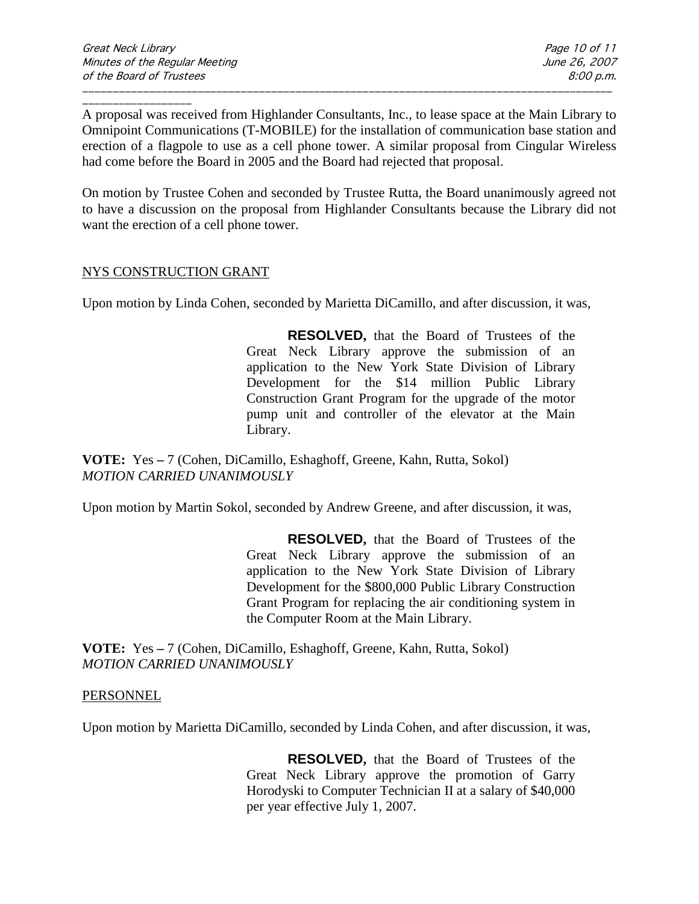A proposal was received from Highlander Consultants, Inc., to lease space at the Main Library to Omnipoint Communications (T-MOBILE) for the installation of communication base station and erection of a flagpole to use as a cell phone tower. A similar proposal from Cingular Wireless had come before the Board in 2005 and the Board had rejected that proposal.

\_\_\_\_\_\_\_\_\_\_\_\_\_\_\_\_\_\_\_\_\_\_\_\_\_\_\_\_\_\_\_\_\_\_\_\_\_\_\_\_\_\_\_\_\_\_\_\_\_\_\_\_\_\_\_\_\_\_\_\_\_\_\_\_\_\_\_\_\_\_\_\_\_\_\_\_\_\_\_\_\_\_\_\_\_\_\_

On motion by Trustee Cohen and seconded by Trustee Rutta, the Board unanimously agreed not to have a discussion on the proposal from Highlander Consultants because the Library did not want the erection of a cell phone tower.

## NYS CONSTRUCTION GRANT

Upon motion by Linda Cohen, seconded by Marietta DiCamillo, and after discussion, it was,

**RESOLVED,** that the Board of Trustees of the Great Neck Library approve the submission of an application to the New York State Division of Library Development for the \$14 million Public Library Construction Grant Program for the upgrade of the motor pump unit and controller of the elevator at the Main Library.

**VOTE:** Yes **–** 7 (Cohen, DiCamillo, Eshaghoff, Greene, Kahn, Rutta, Sokol) *MOTION CARRIED UNANIMOUSLY*

Upon motion by Martin Sokol, seconded by Andrew Greene, and after discussion, it was,

**RESOLVED,** that the Board of Trustees of the Great Neck Library approve the submission of an application to the New York State Division of Library Development for the \$800,000 Public Library Construction Grant Program for replacing the air conditioning system in the Computer Room at the Main Library.

**VOTE:** Yes **–** 7 (Cohen, DiCamillo, Eshaghoff, Greene, Kahn, Rutta, Sokol) *MOTION CARRIED UNANIMOUSLY*

#### **PERSONNEL**

Upon motion by Marietta DiCamillo, seconded by Linda Cohen, and after discussion, it was,

**RESOLVED,** that the Board of Trustees of the Great Neck Library approve the promotion of Garry Horodyski to Computer Technician II at a salary of \$40,000 per year effective July 1, 2007.